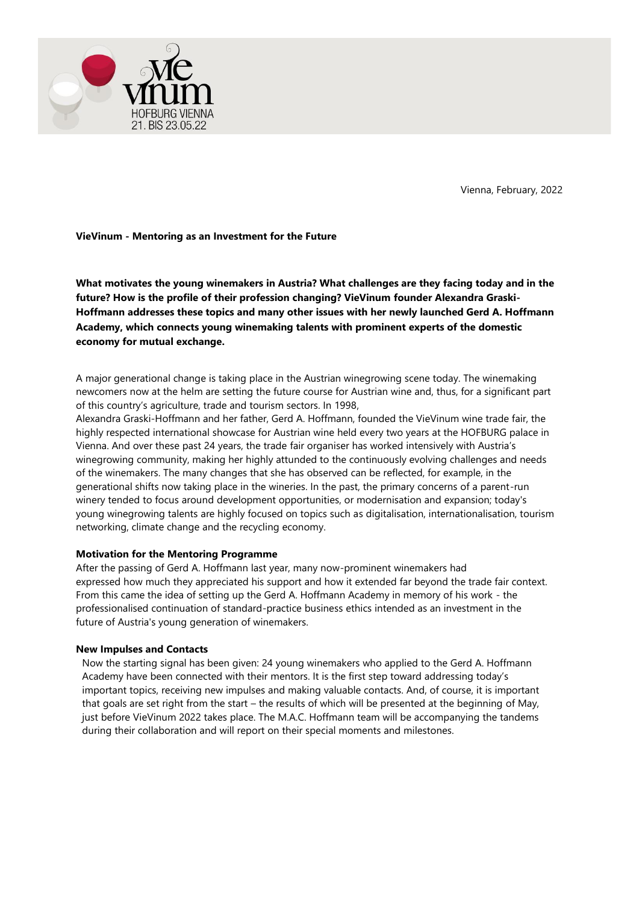

Vienna, February, 2022

## **VieVinum - Mentoring as an Investment for the Future**

**What motivates the young winemakers in Austria? What challenges are they facing today and in the future? How is the profile of their profession changing? VieVinum founder Alexandra Graski-Hoffmann addresses these topics and many other issues with her newly launched Gerd A. Hoffmann Academy, which connects young winemaking talents with prominent experts of the domestic economy for mutual exchange.**

A major generational change is taking place in the Austrian winegrowing scene today. The winemaking newcomers now at the helm are setting the future course for Austrian wine and, thus, for a significant part of this country's agriculture, trade and tourism sectors. In 1998,

Alexandra Graski-Hoffmann and her father, Gerd A. Hoffmann, founded the VieVinum wine trade fair, the highly respected international showcase for Austrian wine held every two years at the HOFBURG palace in Vienna. And over these past 24 years, the trade fair organiser has worked intensively with Austria's winegrowing community, making her highly attunded to the continuously evolving challenges and needs of the winemakers. The many changes that she has observed can be reflected, for example, in the generational shifts now taking place in the wineries. In the past, the primary concerns of a parent-run winery tended to focus around development opportunities, or modernisation and expansion; today's young winegrowing talents are highly focused on topics such as digitalisation, internationalisation, tourism networking, climate change and the recycling economy.

#### **Motivation for the Mentoring Programme**

After the passing of Gerd A. Hoffmann last year, many now-prominent winemakers had expressed how much they appreciated his support and how it extended far beyond the trade fair context. From this came the idea of setting up the Gerd A. Hoffmann Academy in memory of his work - the professionalised continuation of standard-practice business ethics intended as an investment in the future of Austria's young generation of winemakers.

#### **New Impulses and Contacts**

Now the starting signal has been given: 24 young winemakers who applied to the Gerd A. Hoffmann Academy have been connected with their mentors. It is the first step toward addressing today's important topics, receiving new impulses and making valuable contacts. And, of course, it is important that goals are set right from the start – the results of which will be presented at the beginning of May, just before VieVinum 2022 takes place. The M.A.C. Hoffmann team will be accompanying the tandems during their collaboration and will report on their special moments and milestones.